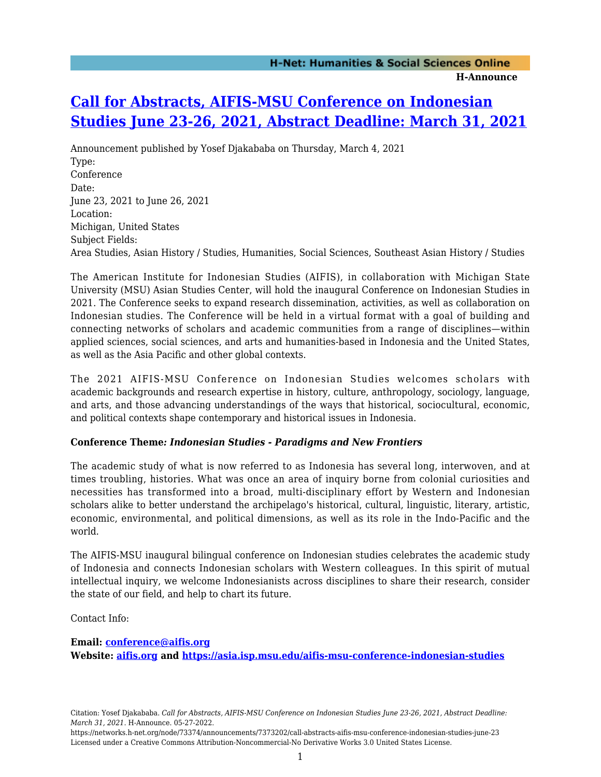## **[Call for Abstracts, AIFIS-MSU Conference on Indonesian](https://networks.h-net.org/node/73374/announcements/7373202/call-abstracts-aifis-msu-conference-indonesian-studies-june-23) [Studies June 23-26, 2021, Abstract Deadline: March 31, 2021](https://networks.h-net.org/node/73374/announcements/7373202/call-abstracts-aifis-msu-conference-indonesian-studies-june-23)**

Announcement published by Yosef Djakababa on Thursday, March 4, 2021 Type: Conference Date: June 23, 2021 to June 26, 2021 Location: Michigan, United States Subject Fields: Area Studies, Asian History / Studies, Humanities, Social Sciences, Southeast Asian History / Studies

The American Institute for Indonesian Studies (AIFIS), in collaboration with Michigan State University (MSU) Asian Studies Center, will hold the inaugural Conference on Indonesian Studies in 2021. The Conference seeks to expand research dissemination, activities, as well as collaboration on Indonesian studies. The Conference will be held in a virtual format with a goal of building and connecting networks of scholars and academic communities from a range of disciplines—within applied sciences, social sciences, and arts and humanities-based in Indonesia and the United States, as well as the Asia Pacific and other global contexts.

The 2021 AIFIS-MSU Conference on Indonesian Studies welcomes scholars with academic backgrounds and research expertise in history, culture, anthropology, sociology, language, and arts, and those advancing understandings of the ways that historical, sociocultural, economic, and political contexts shape contemporary and historical issues in Indonesia.

## **Conference Theme***: Indonesian Studies - Paradigms and New Frontiers*

The academic study of what is now referred to as Indonesia has several long, interwoven, and at times troubling, histories. What was once an area of inquiry borne from colonial curiosities and necessities has transformed into a broad, multi-disciplinary effort by Western and Indonesian scholars alike to better understand the archipelago's historical, cultural, linguistic, literary, artistic, economic, environmental, and political dimensions, as well as its role in the Indo-Pacific and the world.

The AIFIS-MSU inaugural bilingual conference on Indonesian studies celebrates the academic study of Indonesia and connects Indonesian scholars with Western colleagues. In this spirit of mutual intellectual inquiry, we welcome Indonesianists across disciplines to share their research, consider the state of our field, and help to chart its future.

Contact Info:

**Email: [conference@aifis.org](mailto:conference@aifis.org) Website: [aifis.org](https://asia.isp.msu.edu/aifis.org) and <https://asia.isp.msu.edu/aifis-msu-conference-indonesian-studies>**

https://networks.h-net.org/node/73374/announcements/7373202/call-abstracts-aifis-msu-conference-indonesian-studies-june-23 Licensed under a Creative Commons Attribution-Noncommercial-No Derivative Works 3.0 United States License.